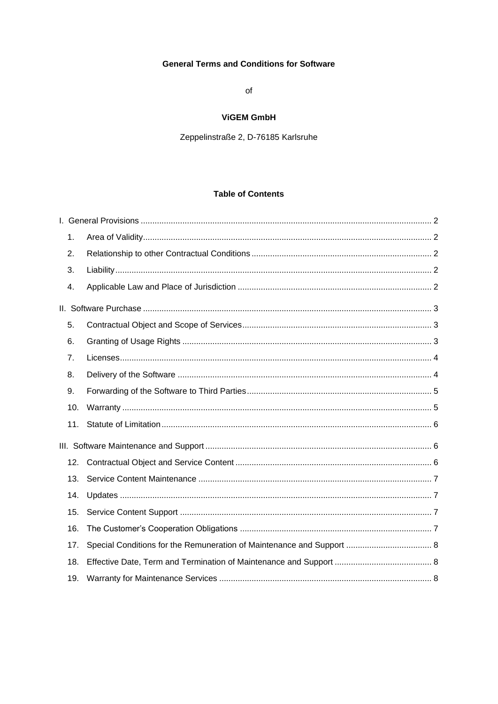# **General Terms and Conditions for Software**

 $\circ$ f

# **ViGEM GmbH**

Zeppelinstraße 2, D-76185 Karlsruhe

# **Table of Contents**

| 1.  |  |
|-----|--|
| 2.  |  |
| 3.  |  |
| 4.  |  |
|     |  |
| 5.  |  |
| 6.  |  |
| 7.  |  |
| 8.  |  |
|     |  |
| 9.  |  |
| 10. |  |
| 11. |  |
|     |  |
| 12. |  |
| 13. |  |
| 14. |  |
| 15. |  |
| 16. |  |
| 17. |  |
| 18. |  |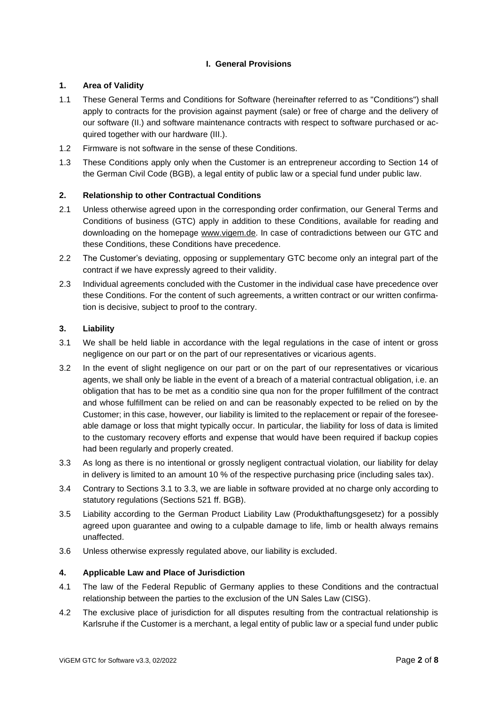# **I. General Provisions**

# <span id="page-1-1"></span><span id="page-1-0"></span>**1. Area of Validity**

- 1.1 These General Terms and Conditions for Software (hereinafter referred to as "Conditions") shall apply to contracts for the provision against payment (sale) or free of charge and the delivery of our software (II.) and software maintenance contracts with respect to software purchased or acquired together with our hardware (III.).
- 1.2 Firmware is not software in the sense of these Conditions.
- 1.3 These Conditions apply only when the Customer is an entrepreneur according to Section 14 of the German Civil Code (BGB), a legal entity of public law or a special fund under public law.

# <span id="page-1-2"></span>**2. Relationship to other Contractual Conditions**

- 2.1 Unless otherwise agreed upon in the corresponding order confirmation, our General Terms and Conditions of business (GTC) apply in addition to these Conditions, available for reading and downloading on the homepage [www.vigem.de.](http://www.vigem.de/) In case of contradictions between our GTC and these Conditions, these Conditions have precedence.
- 2.2 The Customer's deviating, opposing or supplementary GTC become only an integral part of the contract if we have expressly agreed to their validity.
- 2.3 Individual agreements concluded with the Customer in the individual case have precedence over these Conditions. For the content of such agreements, a written contract or our written confirmation is decisive, subject to proof to the contrary.

# <span id="page-1-3"></span>**3. Liability**

- 3.1 We shall be held liable in accordance with the legal regulations in the case of intent or gross negligence on our part or on the part of our representatives or vicarious agents.
- 3.2 In the event of slight negligence on our part or on the part of our representatives or vicarious agents, we shall only be liable in the event of a breach of a material contractual obligation, i.e. an obligation that has to be met as a conditio sine qua non for the proper fulfillment of the contract and whose fulfillment can be relied on and can be reasonably expected to be relied on by the Customer; in this case, however, our liability is limited to the replacement or repair of the foreseeable damage or loss that might typically occur. In particular, the liability for loss of data is limited to the customary recovery efforts and expense that would have been required if backup copies had been regularly and properly created.
- 3.3 As long as there is no intentional or grossly negligent contractual violation, our liability for delay in delivery is limited to an amount 10 % of the respective purchasing price (including sales tax).
- 3.4 Contrary to Sections 3.1 to 3.3, we are liable in software provided at no charge only according to statutory regulations (Sections 521 ff. BGB).
- 3.5 Liability according to the German Product Liability Law (Produkthaftungsgesetz) for a possibly agreed upon guarantee and owing to a culpable damage to life, limb or health always remains unaffected.
- 3.6 Unless otherwise expressly regulated above, our liability is excluded.

## <span id="page-1-4"></span>**4. Applicable Law and Place of Jurisdiction**

- 4.1 The law of the Federal Republic of Germany applies to these Conditions and the contractual relationship between the parties to the exclusion of the UN Sales Law (CISG).
- 4.2 The exclusive place of jurisdiction for all disputes resulting from the contractual relationship is Karlsruhe if the Customer is a merchant, a legal entity of public law or a special fund under public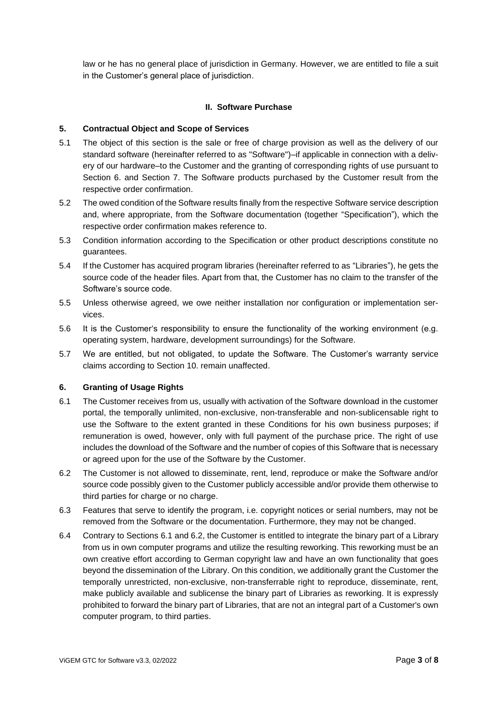<span id="page-2-0"></span>law or he has no general place of jurisdiction in Germany. However, we are entitled to file a suit in the Customer's general place of jurisdiction.

## **II. Software Purchase**

## <span id="page-2-1"></span>**5. Contractual Object and Scope of Services**

- 5.1 The object of this section is the sale or free of charge provision as well as the delivery of our standard software (hereinafter referred to as "Software")–if applicable in connection with a delivery of our hardware–to the Customer and the granting of corresponding rights of use pursuant to Section 6. and Section 7. The Software products purchased by the Customer result from the respective order confirmation.
- 5.2 The owed condition of the Software results finally from the respective Software service description and, where appropriate, from the Software documentation (together "Specification"), which the respective order confirmation makes reference to.
- 5.3 Condition information according to the Specification or other product descriptions constitute no guarantees.
- 5.4 If the Customer has acquired program libraries (hereinafter referred to as "Libraries"), he gets the source code of the header files. Apart from that, the Customer has no claim to the transfer of the Software's source code.
- 5.5 Unless otherwise agreed, we owe neither installation nor configuration or implementation services.
- 5.6 It is the Customer's responsibility to ensure the functionality of the working environment (e.g. operating system, hardware, development surroundings) for the Software.
- 5.7 We are entitled, but not obligated, to update the Software. The Customer's warranty service claims according to Section 10. remain unaffected.

## <span id="page-2-2"></span>**6. Granting of Usage Rights**

- 6.1 The Customer receives from us, usually with activation of the Software download in the customer portal, the temporally unlimited, non-exclusive, non-transferable and non-sublicensable right to use the Software to the extent granted in these Conditions for his own business purposes; if remuneration is owed, however, only with full payment of the purchase price. The right of use includes the download of the Software and the number of copies of this Software that is necessary or agreed upon for the use of the Software by the Customer.
- 6.2 The Customer is not allowed to disseminate, rent, lend, reproduce or make the Software and/or source code possibly given to the Customer publicly accessible and/or provide them otherwise to third parties for charge or no charge.
- 6.3 Features that serve to identify the program, i.e. copyright notices or serial numbers, may not be removed from the Software or the documentation. Furthermore, they may not be changed.
- 6.4 Contrary to Sections 6.1 and 6.2, the Customer is entitled to integrate the binary part of a Library from us in own computer programs and utilize the resulting reworking. This reworking must be an own creative effort according to German copyright law and have an own functionality that goes beyond the dissemination of the Library. On this condition, we additionally grant the Customer the temporally unrestricted, non-exclusive, non-transferrable right to reproduce, disseminate, rent, make publicly available and sublicense the binary part of Libraries as reworking. It is expressly prohibited to forward the binary part of Libraries, that are not an integral part of a Customer's own computer program, to third parties.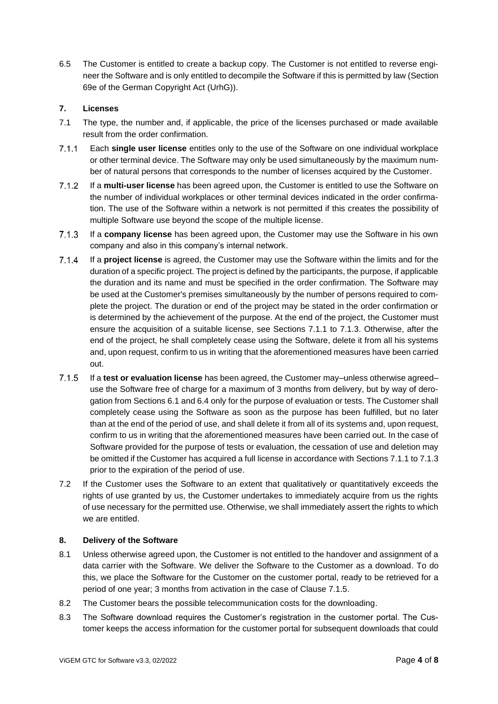6.5 The Customer is entitled to create a backup copy. The Customer is not entitled to reverse engineer the Software and is only entitled to decompile the Software if this is permitted by law (Section 69e of the German Copyright Act (UrhG)).

# <span id="page-3-0"></span>**7. Licenses**

- 7.1 The type, the number and, if applicable, the price of the licenses purchased or made available result from the order confirmation.
- Each **single user license** entitles only to the use of the Software on one individual workplace  $7.1.1$ or other terminal device. The Software may only be used simultaneously by the maximum number of natural persons that corresponds to the number of licenses acquired by the Customer.
- $7.1.2$ If a **multi-user license** has been agreed upon, the Customer is entitled to use the Software on the number of individual workplaces or other terminal devices indicated in the order confirmation. The use of the Software within a network is not permitted if this creates the possibility of multiple Software use beyond the scope of the multiple license.
- $7.1.3$ If a **company license** has been agreed upon, the Customer may use the Software in his own company and also in this company's internal network.
- $7.1.4$ If a **project license** is agreed, the Customer may use the Software within the limits and for the duration of a specific project. The project is defined by the participants, the purpose, if applicable the duration and its name and must be specified in the order confirmation. The Software may be used at the Customer's premises simultaneously by the number of persons required to complete the project. The duration or end of the project may be stated in the order confirmation or is determined by the achievement of the purpose. At the end of the project, the Customer must ensure the acquisition of a suitable license, see Sections 7.1.1 to 7.1.3. Otherwise, after the end of the project, he shall completely cease using the Software, delete it from all his systems and, upon request, confirm to us in writing that the aforementioned measures have been carried out.
- $7.1.5$ If a **test or evaluation license** has been agreed, the Customer may–unless otherwise agreed– use the Software free of charge for a maximum of 3 months from delivery, but by way of derogation from Sections 6.1 and 6.4 only for the purpose of evaluation or tests. The Customer shall completely cease using the Software as soon as the purpose has been fulfilled, but no later than at the end of the period of use, and shall delete it from all of its systems and, upon request, confirm to us in writing that the aforementioned measures have been carried out. In the case of Software provided for the purpose of tests or evaluation, the cessation of use and deletion may be omitted if the Customer has acquired a full license in accordance with Sections 7.1.1 to 7.1.3 prior to the expiration of the period of use.
- 7.2 If the Customer uses the Software to an extent that qualitatively or quantitatively exceeds the rights of use granted by us, the Customer undertakes to immediately acquire from us the rights of use necessary for the permitted use. Otherwise, we shall immediately assert the rights to which we are entitled.

## <span id="page-3-1"></span>**8. Delivery of the Software**

- 8.1 Unless otherwise agreed upon, the Customer is not entitled to the handover and assignment of a data carrier with the Software. We deliver the Software to the Customer as a download. To do this, we place the Software for the Customer on the customer portal, ready to be retrieved for a period of one year; 3 months from activation in the case of Clause 7.1.5.
- 8.2 The Customer bears the possible telecommunication costs for the downloading.
- 8.3 The Software download requires the Customer's registration in the customer portal. The Customer keeps the access information for the customer portal for subsequent downloads that could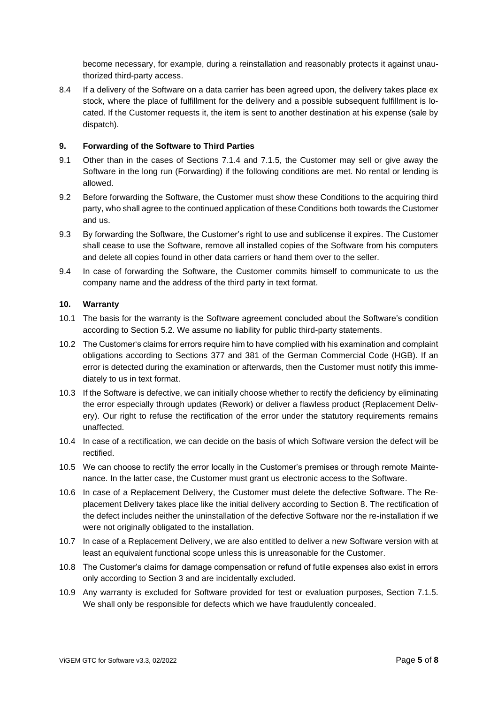become necessary, for example, during a reinstallation and reasonably protects it against unauthorized third-party access.

8.4 If a delivery of the Software on a data carrier has been agreed upon, the delivery takes place ex stock, where the place of fulfillment for the delivery and a possible subsequent fulfillment is located. If the Customer requests it, the item is sent to another destination at his expense (sale by dispatch).

#### <span id="page-4-0"></span>**9. Forwarding of the Software to Third Parties**

- 9.1 Other than in the cases of Sections 7.1.4 and 7.1.5, the Customer may sell or give away the Software in the long run (Forwarding) if the following conditions are met. No rental or lending is allowed.
- 9.2 Before forwarding the Software, the Customer must show these Conditions to the acquiring third party, who shall agree to the continued application of these Conditions both towards the Customer and us.
- 9.3 By forwarding the Software, the Customer's right to use and sublicense it expires. The Customer shall cease to use the Software, remove all installed copies of the Software from his computers and delete all copies found in other data carriers or hand them over to the seller.
- 9.4 In case of forwarding the Software, the Customer commits himself to communicate to us the company name and the address of the third party in text format.

#### <span id="page-4-1"></span>**10. Warranty**

- 10.1 The basis for the warranty is the Software agreement concluded about the Software's condition according to Section 5.2. We assume no liability for public third-party statements.
- 10.2 The Customer's claims for errors require him to have complied with his examination and complaint obligations according to Sections 377 and 381 of the German Commercial Code (HGB). If an error is detected during the examination or afterwards, then the Customer must notify this immediately to us in text format.
- 10.3 If the Software is defective, we can initially choose whether to rectify the deficiency by eliminating the error especially through updates (Rework) or deliver a flawless product (Replacement Delivery). Our right to refuse the rectification of the error under the statutory requirements remains unaffected.
- 10.4 In case of a rectification, we can decide on the basis of which Software version the defect will be rectified.
- 10.5 We can choose to rectify the error locally in the Customer's premises or through remote Maintenance. In the latter case, the Customer must grant us electronic access to the Software.
- 10.6 In case of a Replacement Delivery, the Customer must delete the defective Software. The Replacement Delivery takes place like the initial delivery according to Section 8. The rectification of the defect includes neither the uninstallation of the defective Software nor the re-installation if we were not originally obligated to the installation.
- 10.7 In case of a Replacement Delivery, we are also entitled to deliver a new Software version with at least an equivalent functional scope unless this is unreasonable for the Customer.
- 10.8 The Customer's claims for damage compensation or refund of futile expenses also exist in errors only according to Section 3 and are incidentally excluded.
- 10.9 Any warranty is excluded for Software provided for test or evaluation purposes, Section 7.1.5. We shall only be responsible for defects which we have fraudulently concealed.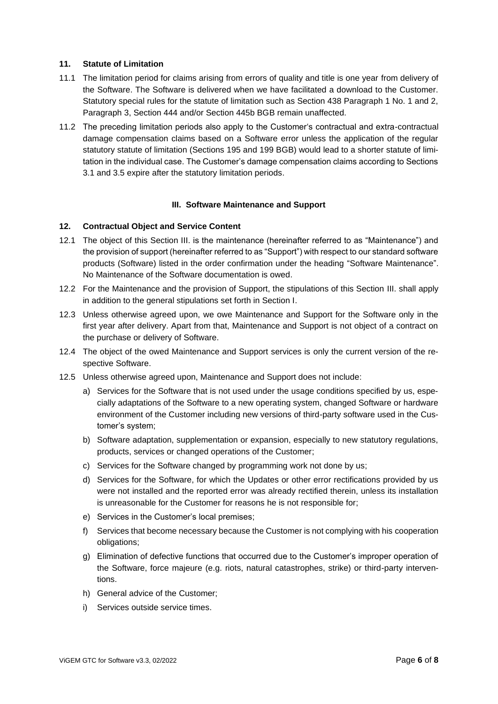#### <span id="page-5-0"></span>**11. Statute of Limitation**

- 11.1 The limitation period for claims arising from errors of quality and title is one year from delivery of the Software. The Software is delivered when we have facilitated a download to the Customer. Statutory special rules for the statute of limitation such as Section 438 Paragraph 1 No. 1 and 2, Paragraph 3, Section 444 and/or Section 445b BGB remain unaffected.
- 11.2 The preceding limitation periods also apply to the Customer's contractual and extra-contractual damage compensation claims based on a Software error unless the application of the regular statutory statute of limitation (Sections 195 and 199 BGB) would lead to a shorter statute of limitation in the individual case. The Customer's damage compensation claims according to Sections 3.1 and 3.5 expire after the statutory limitation periods.

#### **III. Software Maintenance and Support**

#### <span id="page-5-2"></span><span id="page-5-1"></span>**12. Contractual Object and Service Content**

- 12.1 The object of this Section III. is the maintenance (hereinafter referred to as "Maintenance") and the provision of support (hereinafter referred to as "Support") with respect to our standard software products (Software) listed in the order confirmation under the heading "Software Maintenance". No Maintenance of the Software documentation is owed.
- 12.2 For the Maintenance and the provision of Support, the stipulations of this Section III. shall apply in addition to the general stipulations set forth in Section I.
- 12.3 Unless otherwise agreed upon, we owe Maintenance and Support for the Software only in the first year after delivery. Apart from that, Maintenance and Support is not object of a contract on the purchase or delivery of Software.
- 12.4 The object of the owed Maintenance and Support services is only the current version of the respective Software.
- 12.5 Unless otherwise agreed upon, Maintenance and Support does not include:
	- a) Services for the Software that is not used under the usage conditions specified by us, especially adaptations of the Software to a new operating system, changed Software or hardware environment of the Customer including new versions of third-party software used in the Customer's system;
	- b) Software adaptation, supplementation or expansion, especially to new statutory regulations, products, services or changed operations of the Customer;
	- c) Services for the Software changed by programming work not done by us;
	- d) Services for the Software, for which the Updates or other error rectifications provided by us were not installed and the reported error was already rectified therein, unless its installation is unreasonable for the Customer for reasons he is not responsible for;
	- e) Services in the Customer's local premises;
	- f) Services that become necessary because the Customer is not complying with his cooperation obligations;
	- g) Elimination of defective functions that occurred due to the Customer's improper operation of the Software, force majeure (e.g. riots, natural catastrophes, strike) or third-party interventions.
	- h) General advice of the Customer;
	- i) Services outside service times.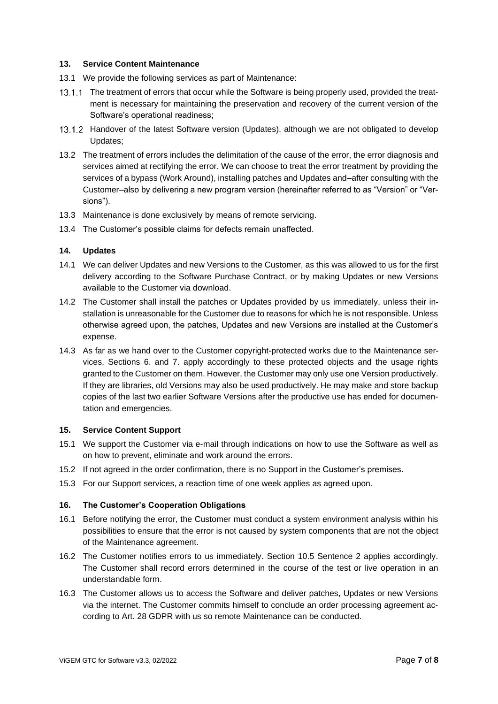#### <span id="page-6-0"></span>**13. Service Content Maintenance**

- 13.1 We provide the following services as part of Maintenance:
- 13.1.1 The treatment of errors that occur while the Software is being properly used, provided the treatment is necessary for maintaining the preservation and recovery of the current version of the Software's operational readiness;
- 13.1.2 Handover of the latest Software version (Updates), although we are not obligated to develop Updates;
- 13.2 The treatment of errors includes the delimitation of the cause of the error, the error diagnosis and services aimed at rectifying the error. We can choose to treat the error treatment by providing the services of a bypass (Work Around), installing patches and Updates and–after consulting with the Customer–also by delivering a new program version (hereinafter referred to as "Version" or "Versions").
- 13.3 Maintenance is done exclusively by means of remote servicing.
- 13.4 The Customer's possible claims for defects remain unaffected.

#### <span id="page-6-1"></span>**14. Updates**

- 14.1 We can deliver Updates and new Versions to the Customer, as this was allowed to us for the first delivery according to the Software Purchase Contract, or by making Updates or new Versions available to the Customer via download.
- 14.2 The Customer shall install the patches or Updates provided by us immediately, unless their installation is unreasonable for the Customer due to reasons for which he is not responsible. Unless otherwise agreed upon, the patches, Updates and new Versions are installed at the Customer's expense.
- 14.3 As far as we hand over to the Customer copyright-protected works due to the Maintenance services, Sections 6. and 7. apply accordingly to these protected objects and the usage rights granted to the Customer on them. However, the Customer may only use one Version productively. If they are libraries, old Versions may also be used productively. He may make and store backup copies of the last two earlier Software Versions after the productive use has ended for documentation and emergencies.

#### <span id="page-6-2"></span>**15. Service Content Support**

- 15.1 We support the Customer via e-mail through indications on how to use the Software as well as on how to prevent, eliminate and work around the errors.
- 15.2 If not agreed in the order confirmation, there is no Support in the Customer's premises.
- 15.3 For our Support services, a reaction time of one week applies as agreed upon.

#### <span id="page-6-3"></span>**16. The Customer's Cooperation Obligations**

- 16.1 Before notifying the error, the Customer must conduct a system environment analysis within his possibilities to ensure that the error is not caused by system components that are not the object of the Maintenance agreement.
- 16.2 The Customer notifies errors to us immediately. Section 10.5 Sentence 2 applies accordingly. The Customer shall record errors determined in the course of the test or live operation in an understandable form.
- 16.3 The Customer allows us to access the Software and deliver patches, Updates or new Versions via the internet. The Customer commits himself to conclude an order processing agreement according to Art. 28 GDPR with us so remote Maintenance can be conducted.